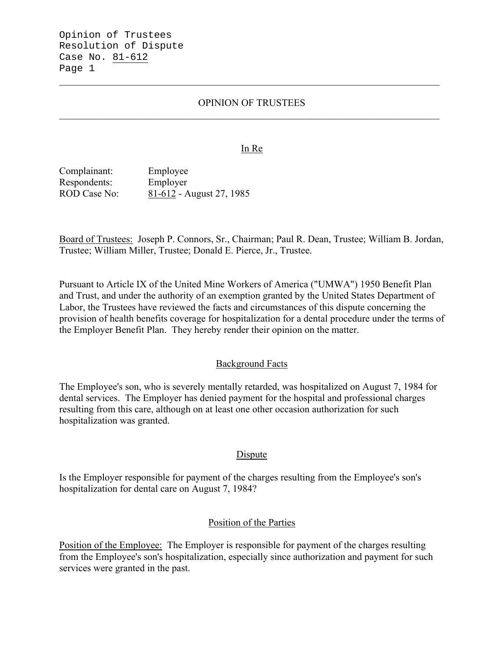Opinion of Trustees Resolution of Dispute Case No. 81-612 Page 1

### OPINION OF TRUSTEES

 $\mathcal{L}_\mathcal{L} = \mathcal{L}_\mathcal{L} = \mathcal{L}_\mathcal{L} = \mathcal{L}_\mathcal{L} = \mathcal{L}_\mathcal{L} = \mathcal{L}_\mathcal{L} = \mathcal{L}_\mathcal{L} = \mathcal{L}_\mathcal{L} = \mathcal{L}_\mathcal{L} = \mathcal{L}_\mathcal{L} = \mathcal{L}_\mathcal{L} = \mathcal{L}_\mathcal{L} = \mathcal{L}_\mathcal{L} = \mathcal{L}_\mathcal{L} = \mathcal{L}_\mathcal{L} = \mathcal{L}_\mathcal{L} = \mathcal{L}_\mathcal{L}$ 

#### In Re

Complainant: Employee Respondents: Employer ROD Case No: 81-612 - August 27, 1985

Board of Trustees: Joseph P. Connors, Sr., Chairman; Paul R. Dean, Trustee; William B. Jordan, Trustee; William Miller, Trustee; Donald E. Pierce, Jr., Trustee.

Pursuant to Article IX of the United Mine Workers of America ("UMWA") 1950 Benefit Plan and Trust, and under the authority of an exemption granted by the United States Department of Labor, the Trustees have reviewed the facts and circumstances of this dispute concerning the provision of health benefits coverage for hospitalization for a dental procedure under the terms of the Employer Benefit Plan. They hereby render their opinion on the matter.

### Background Facts

The Employee's son, who is severely mentally retarded, was hospitalized on August 7, 1984 for dental services. The Employer has denied payment for the hospital and professional charges resulting from this care, although on at least one other occasion authorization for such hospitalization was granted.

#### Dispute

Is the Employer responsible for payment of the charges resulting from the Employee's son's hospitalization for dental care on August 7, 1984?

### Position of the Parties

Position of the Employee: The Employer is responsible for payment of the charges resulting from the Employee's son's hospitalization, especially since authorization and payment for such services were granted in the past.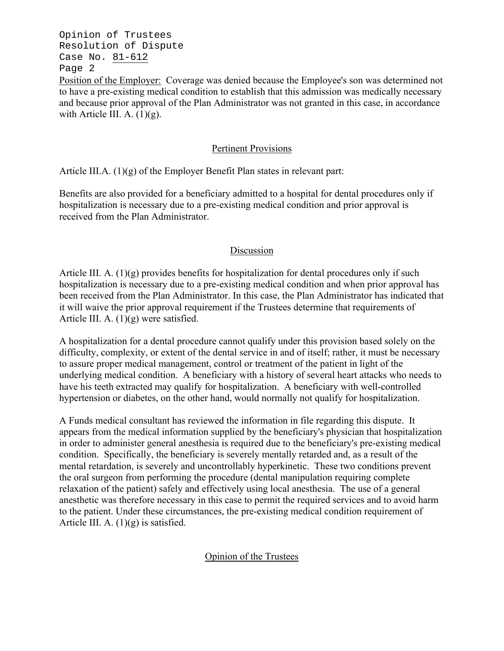Opinion of Trustees Resolution of Dispute Case No. 81-612 Page 2

Position of the Employer: Coverage was denied because the Employee's son was determined not to have a pre-existing medical condition to establish that this admission was medically necessary and because prior approval of the Plan Administrator was not granted in this case, in accordance with Article III. A.  $(1)(g)$ .

# Pertinent Provisions

Article III.A. (1)(g) of the Employer Benefit Plan states in relevant part:

Benefits are also provided for a beneficiary admitted to a hospital for dental procedures only if hospitalization is necessary due to a pre-existing medical condition and prior approval is received from the Plan Administrator.

# Discussion

Article III. A. (1)(g) provides benefits for hospitalization for dental procedures only if such hospitalization is necessary due to a pre-existing medical condition and when prior approval has been received from the Plan Administrator. In this case, the Plan Administrator has indicated that it will waive the prior approval requirement if the Trustees determine that requirements of Article III. A.  $(1)(g)$  were satisfied.

A hospitalization for a dental procedure cannot qualify under this provision based solely on the difficulty, complexity, or extent of the dental service in and of itself; rather, it must be necessary to assure proper medical management, control or treatment of the patient in light of the underlying medical condition. A beneficiary with a history of several heart attacks who needs to have his teeth extracted may qualify for hospitalization. A beneficiary with well-controlled hypertension or diabetes, on the other hand, would normally not qualify for hospitalization.

A Funds medical consultant has reviewed the information in file regarding this dispute. It appears from the medical information supplied by the beneficiary's physician that hospitalization in order to administer general anesthesia is required due to the beneficiary's pre-existing medical condition. Specifically, the beneficiary is severely mentally retarded and, as a result of the mental retardation, is severely and uncontrollably hyperkinetic. These two conditions prevent the oral surgeon from performing the procedure (dental manipulation requiring complete relaxation of the patient) safely and effectively using local anesthesia. The use of a general anesthetic was therefore necessary in this case to permit the required services and to avoid harm to the patient. Under these circumstances, the pre-existing medical condition requirement of Article III. A.  $(1)(g)$  is satisfied.

# Opinion of the Trustees